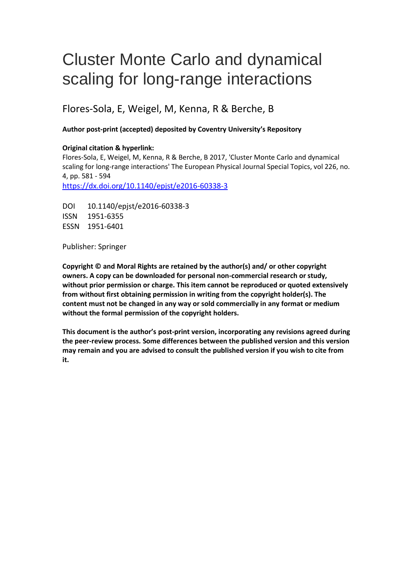# Cluster Monte Carlo and dynamical scaling for long-range interactions

Flores-Sola, E, Weigel, M, Kenna, R & Berche, B

# **Author post-print (accepted) deposited by Coventry University's Repository**

# **Original citation & hyperlink:**

Flores-Sola, E, Weigel, M, Kenna, R & Berche, B 2017, 'Cluster Monte Carlo and dynamical scaling for long-range interactions' The European Physical Journal Special Topics, vol 226, no. 4, pp. 581 - 594 <https://dx.doi.org/10.1140/epjst/e2016-60338-3>

DOI 10.1140/epjst/e2016-60338-3 ISSN 1951-6355 ESSN 1951-6401

Publisher: Springer

**Copyright © and Moral Rights are retained by the author(s) and/ or other copyright owners. A copy can be downloaded for personal non-commercial research or study, without prior permission or charge. This item cannot be reproduced or quoted extensively from without first obtaining permission in writing from the copyright holder(s). The content must not be changed in any way or sold commercially in any format or medium without the formal permission of the copyright holders.** 

**This document is the author's post-print version, incorporating any revisions agreed during the peer-review process. Some differences between the published version and this version may remain and you are advised to consult the published version if you wish to cite from it.**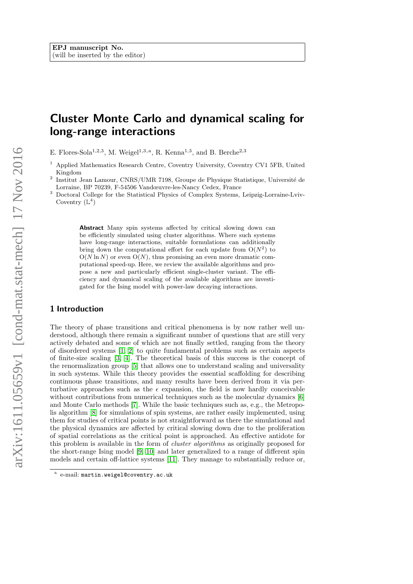# Cluster Monte Carlo and dynamical scaling for long-range interactions

E. Flores-Sola<sup>1,2,3</sup>, M. Weigel<sup>1,3,a</sup>, R. Kenna<sup>1,3</sup>, and B. Berche<sup>2,3</sup>

<sup>1</sup> Applied Mathematics Research Centre, Coventry University, Coventry CV1 5FB, United Kingdom

- <sup>2</sup> Institut Jean Lamour, CNRS/UMR 7198, Groupe de Physique Statistique, Université de Lorraine, BP 70239, F-54506 Vandœuvre-les-Nancy Cedex, France
- <sup>3</sup> Doctoral College for the Statistical Physics of Complex Systems, Leipzig-Lorraine-Lviv-Coventry  $(\mathbb{L}^4)$

Abstract Many spin systems affected by critical slowing down can be efficiently simulated using cluster algorithms. Where such systems have long-range interactions, suitable formulations can additionally bring down the computational effort for each update from  $O(N^2)$  to  $O(N \ln N)$  or even  $O(N)$ , thus promising an even more dramatic computational speed-up. Here, we review the available algorithms and propose a new and particularly efficient single-cluster variant. The efficiency and dynamical scaling of the available algorithms are investigated for the Ising model with power-law decaying interactions.

# 1 Introduction

The theory of phase transitions and critical phenomena is by now rather well understood, although there remain a significant number of questions that are still very actively debated and some of which are not finally settled, ranging from the theory of disordered systems [\[1,](#page-13-0) [2\]](#page-14-0) to quite fundamental problems such as certain aspects of finite-size scaling [\[3,](#page-14-1) [4\]](#page-14-2). The theoretical basis of this success is the concept of the renormalization group [\[5\]](#page-14-3) that allows one to understand scaling and universality in such systems. While this theory provides the essential scaffolding for describing continuous phase transitions, and many results have been derived from it via perturbative approaches such as the  $\epsilon$  expansion, the field is now hardly conceivable without contributions from numerical techniques such as the molecular dynamics [\[6\]](#page-14-4) and Monte Carlo methods [\[7\]](#page-14-5). While the basic techniques such as, e.g., the Metropolis algorithm [\[8\]](#page-14-6) for simulations of spin systems, are rather easily implemented, using them for studies of critical points is not straightforward as there the simulational and the physical dynamics are affected by critical slowing down due to the proliferation of spatial correlations as the critical point is approached. An effective antidote for this problem is available in the form of *cluster algorithms* as originally proposed for the short-range Ising model [\[9,](#page-14-7) [10\]](#page-14-8) and later generalized to a range of different spin models and certain off-lattice systems [\[11\]](#page-14-9). They manage to substantially reduce or,

a e-mail: martin.weigel@coventry.ac.uk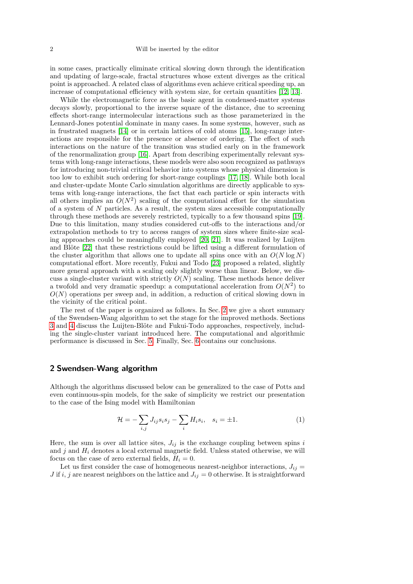in some cases, practically eliminate critical slowing down through the identification and updating of large-scale, fractal structures whose extent diverges as the critical point is approached. A related class of algorithms even achieve critical speeding up, an increase of computational efficiency with system size, for certain quantities [\[12,](#page-14-10) [13\]](#page-14-11).

While the electromagnetic force as the basic agent in condensed-matter systems decays slowly, proportional to the inverse square of the distance, due to screening effects short-range intermolecular interactions such as those parameterized in the Lennard-Jones potential dominate in many cases. In some systems, however, such as in frustrated magnets [\[14\]](#page-14-12) or in certain lattices of cold atoms [\[15\]](#page-14-13), long-range interactions are responsible for the presence or absence of ordering. The effect of such interactions on the nature of the transition was studied early on in the framework of the renormalization group [\[16\]](#page-14-14). Apart from describing experimentally relevant systems with long-range interactions, these models were also soon recognized as pathways for introducing non-trivial critical behavior into systems whose physical dimension is too low to exhibit such ordering for short-range couplings [\[17,](#page-14-15) [18\]](#page-14-16). While both local and cluster-update Monte Carlo simulation algorithms are directly applicable to systems with long-range interactions, the fact that each particle or spin interacts with all others implies an  $O(N^2)$  scaling of the computational effort for the simulation of a system of  $N$  particles. As a result, the system sizes accessible computationally through these methods are severely restricted, typically to a few thousand spins [\[19\]](#page-14-17). Due to this limitation, many studies considered cut-offs to the interactions and/or extrapolation methods to try to access ranges of system sizes where finite-size scaling approaches could be meaningfully employed [\[20,](#page-14-18) [21\]](#page-14-19). It was realized by Luijten and Blöte [\[22\]](#page-14-20) that these restrictions could be lifted using a different formulation of the cluster algorithm that allows one to update all spins once with an  $O(N \log N)$ computational effort. More recently, Fukui and Todo [\[23\]](#page-14-21) proposed a related, slightly more general approach with a scaling only slightly worse than linear. Below, we discuss a single-cluster variant with strictly  $O(N)$  scaling. These methods hence deliver a twofold and very dramatic speedup: a computational acceleration from  $O(N^2)$  to  $O(N)$  operations per sweep and, in addition, a reduction of critical slowing down in the vicinity of the critical point.

The rest of the paper is organized as follows. In Sec. [2](#page-2-0) we give a short summary of the Swendsen-Wang algorithm to set the stage for the improved methods. Sections [3](#page-4-0) and [4](#page-5-0) discuss the Luijten-Blöte and Fukui-Todo approaches, respectively, including the single-cluster variant introduced here. The computational and algorithmic performance is discussed in Sec. [5.](#page-8-0) Finally, Sec. [6](#page-13-1) contains our conclusions.

# <span id="page-2-0"></span>2 Swendsen-Wang algorithm

Although the algorithms discussed below can be generalized to the case of Potts and even continuous-spin models, for the sake of simplicity we restrict our presentation to the case of the Ising model with Hamiltonian

<span id="page-2-1"></span>
$$
\mathcal{H} = -\sum_{i,j} J_{ij} s_i s_j - \sum_i H_i s_i, \quad s_i = \pm 1. \tag{1}
$$

Here, the sum is over all lattice sites,  $J_{ij}$  is the exchange coupling between spins is and j and  $H_i$  denotes a local external magnetic field. Unless stated otherwise, we will focus on the case of zero external fields,  $H_i = 0$ .

Let us first consider the case of homogeneous nearest-neighbor interactions,  $J_{ij} =$ J if i, j are nearest neighbors on the lattice and  $J_{ij} = 0$  otherwise. It is straightforward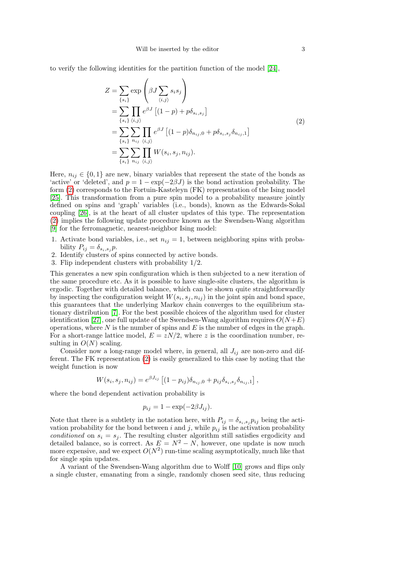<span id="page-3-0"></span>to verify the following identities for the partition function of the model [\[24\]](#page-14-22),

$$
Z = \sum_{\{s_i\}} \exp\left(\beta J \sum_{\langle i,j\rangle} s_i s_j\right)
$$
  
= 
$$
\sum_{\{s_i\}} \prod_{\langle i,j\rangle} e^{\beta J} [(1-p) + p\delta_{s_i,s_j}]
$$
  
= 
$$
\sum_{\{s_i\}} \sum_{n_{ij}} \prod_{\langle i,j\rangle} e^{\beta J} [(1-p)\delta_{n_{ij},0} + p\delta_{s_i,s_j}\delta_{n_{ij},1}]
$$
  
= 
$$
\sum_{\{s_i\}} \sum_{n_{ij}} \prod_{\langle i,j\rangle} W(s_i,s_j,n_{ij}).
$$
 (2)

Here,  $n_{ij} \in \{0,1\}$  are new, binary variables that represent the state of the bonds as 'active' or 'deleted', and  $p = 1 - \exp(-2\beta J)$  is the bond activation probability. The form [\(2\)](#page-3-0) corresponds to the Fortuin-Kasteleyn (FK) representation of the Ising model [\[25\]](#page-14-23). This transformation from a pure spin model to a probability measure jointly defined on spins and 'graph' variables (i.e., bonds), known as the Edwards-Sokal coupling [\[26\]](#page-14-24), is at the heart of all cluster updates of this type. The representation [\(2\)](#page-3-0) implies the following update procedure known as the Swendsen-Wang algorithm [\[9\]](#page-14-7) for the ferromagnetic, nearest-neighbor Ising model:

- 1. Activate bond variables, i.e., set  $n_{ij} = 1$ , between neighboring spins with probability  $P_{ij} = \delta_{s_i, s_j} p$ .
- 2. Identify clusters of spins connected by active bonds.
- 3. Flip independent clusters with probability 1/2.

This generates a new spin configuration which is then subjected to a new iteration of the same procedure etc. As it is possible to have single-site clusters, the algorithm is ergodic. Together with detailed balance, which can be shown quite straightforwardly by inspecting the configuration weight  $W(s_i, s_j, n_{ij})$  in the joint spin and bond space, this guarantees that the underlying Markov chain converges to the equilibrium stationary distribution [\[7\]](#page-14-5). For the best possible choices of the algorithm used for cluster identification [\[27\]](#page-14-25), one full update of the Swendsen-Wang algorithm requires  $O(N+E)$ operations, where  $N$  is the number of spins and  $E$  is the number of edges in the graph. For a short-range lattice model,  $E = zN/2$ , where z is the coordination number, resulting in  $O(N)$  scaling.

Consider now a long-range model where, in general, all  $J_{ij}$  are non-zero and different. The FK representation [\(2\)](#page-3-0) is easily generalized to this case by noting that the weight function is now

$$
W(s_i, s_j, n_{ij}) = e^{\beta J_{ij}} \left[ (1 - p_{ij}) \delta_{n_{ij},0} + p_{ij} \delta_{s_i, s_j} \delta_{n_{ij},1} \right],
$$

where the bond dependent activation probability is

$$
p_{ij} = 1 - \exp(-2\beta J_{ij}).
$$

Note that there is a subtlety in the notation here, with  $P_{ij} = \delta_{s_i, s_j} p_{ij}$  being the activation probability for the bond between i and j, while  $p_{ij}$  is the activation probability conditioned on  $s_i = s_j$ . The resulting cluster algorithm still satisfies ergodicity and detailed balance, so is correct. As  $E = N^2 - N$ , however, one update is now much more expensive, and we expect  $O(N^2)$  run-time scaling asymptotically, much like that for single spin updates.

A variant of the Swendsen-Wang algorithm due to Wolff [\[10\]](#page-14-8) grows and flips only a single cluster, emanating from a single, randomly chosen seed site, thus reducing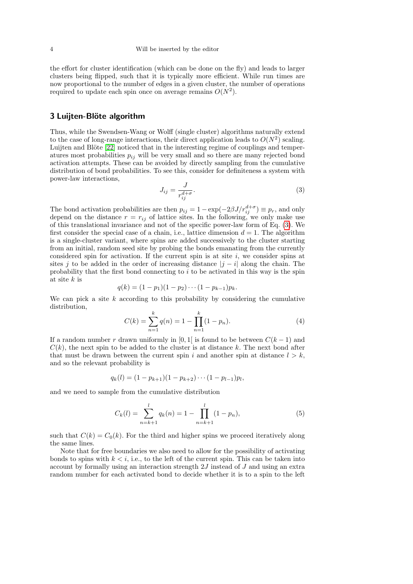the effort for cluster identification (which can be done on the fly) and leads to larger clusters being flipped, such that it is typically more efficient. While run times are now proportional to the number of edges in a given cluster, the number of operations required to update each spin once on average remains  $O(N^2)$ .

# <span id="page-4-0"></span>3 Luijten-Blöte algorithm

Thus, while the Swendsen-Wang or Wolff (single cluster) algorithms naturally extend to the case of long-range interactions, their direct application leads to  $O(N^2)$  scaling. Luijten and Blöte [\[22\]](#page-14-20) noticed that in the interesting regime of couplings and temperatures most probabilities  $p_{ij}$  will be very small and so there are many rejected bond activation attempts. These can be avoided by directly sampling from the cumulative distribution of bond probabilities. To see this, consider for definiteness a system with power-law interactions,

<span id="page-4-1"></span>
$$
J_{ij} = \frac{J}{r_{ij}^{d+\sigma}}.\tag{3}
$$

The bond activation probabilities are then  $p_{ij} = 1 - \exp(-2\beta J/r_{ij}^{d+\sigma}) \equiv p_r$ , and only depend on the distance  $r = r_{ij}$  of lattice sites. In the following, we only make use of this translational invariance and not of the specific power-law form of Eq. [\(3\)](#page-4-1). We first consider the special case of a chain, i.e., lattice dimension  $d = 1$ . The algorithm is a single-cluster variant, where spins are added successively to the cluster starting from an initial, random seed site by probing the bonds emanating from the currently considered spin for activation. If the current spin is at site  $i$ , we consider spins at sites j to be added in the order of increasing distance  $|j - i|$  along the chain. The probability that the first bond connecting to  $i$  to be activated in this way is the spin at site k is

$$
q(k) = (1 - p_1)(1 - p_2) \cdots (1 - p_{k-1}) p_k.
$$

We can pick a site  $k$  according to this probability by considering the cumulative distribution,

<span id="page-4-2"></span>
$$
C(k) = \sum_{n=1}^{k} q(n) = 1 - \prod_{n=1}^{k} (1 - p_n).
$$
 (4)

If a random number r drawn uniformly in [0, 1] is found to be between  $C(k-1)$  and  $C(k)$ , the next spin to be added to the cluster is at distance k. The next bond after that must be drawn between the current spin i and another spin at distance  $l > k$ , and so the relevant probability is

$$
q_k(l) = (1 - p_{k+1})(1 - p_{k+2}) \cdots (1 - p_{l-1})p_l,
$$

and we need to sample from the cumulative distribution

<span id="page-4-3"></span>
$$
C_k(l) = \sum_{n=k+1}^{l} q_k(n) = 1 - \prod_{n=k+1}^{l} (1 - p_n),
$$
\n(5)

such that  $C(k) = C_0(k)$ . For the third and higher spins we proceed iteratively along the same lines.

Note that for free boundaries we also need to allow for the possibility of activating bonds to spins with  $k \leq i$ , i.e., to the left of the current spin. This can be taken into account by formally using an interaction strength 2J instead of J and using an extra random number for each activated bond to decide whether it is to a spin to the left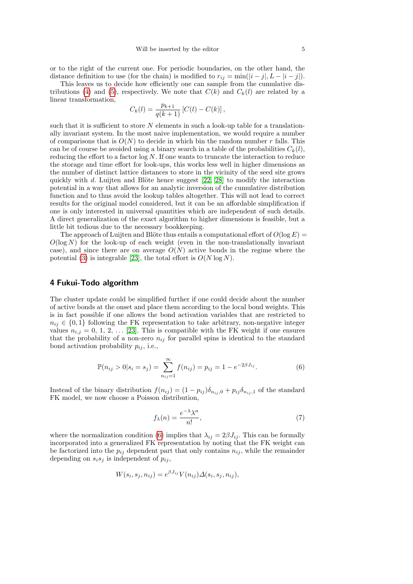or to the right of the current one. For periodic boundaries, on the other hand, the distance definition to use (for the chain) is modified to  $r_{ij} = \min(|i - j|, L - |i - j|)$ .

This leaves us to decide how efficiently one can sample from the cumulative dis-tributions [\(4\)](#page-4-2) and [\(5\)](#page-4-3), respectively. We note that  $C(k)$  and  $C_k(l)$  are related by a linear transformation,

$$
C_k(l) = \frac{p_{k+1}}{q(k+1)} [C(l) - C(k)],
$$

such that it is sufficient to store  $N$  elements in such a look-up table for a translationally invariant system. In the most naive implementation, we would require a number of comparisons that is  $O(N)$  to decide in which bin the random number r falls. This can be of course be avoided using a binary search in a table of the probabilities  $C_k(l)$ , reducing the effort to a factor  $\log N$ . If one wants to truncate the interaction to reduce the storage and time effort for look-ups, this works less well in higher dimensions as the number of distinct lattice distances to store in the vicinity of the seed site grows quickly with d. Luijten and Blöte hence suggest  $[22, 28]$  $[22, 28]$  to modify the interaction potential in a way that allows for an analytic inversion of the cumulative distribution function and to thus avoid the lookup tables altogether. This will not lead to correct results for the original model considered, but it can be an affordable simplification if one is only interested in universal quantities which are independent of such details. A direct generalization of the exact algorithm to higher dimensions is feasible, but a little bit tedious due to the necessary bookkeeping.

The approach of Luijten and Blöte thus entails a computational effort of  $O(\log E)$  =  $O(\log N)$  for the look-up of each weight (even in the non-translationally invariant case), and since there are on average  $O(N)$  active bonds in the regime where the potential [\(3\)](#page-4-1) is integrable [\[23\]](#page-14-21), the total effort is  $O(N \log N)$ .

# <span id="page-5-0"></span>4 Fukui-Todo algorithm

The cluster update could be simplified further if one could decide about the number of active bonds at the onset and place them according to the local bond weights. This is in fact possible if one allows the bond activation variables that are restricted to  $n_{ij} \in \{0,1\}$  following the FK representation to take arbitrary, non-negative integer values  $n_{i,j} = 0, 1, 2, \ldots [23]$  $n_{i,j} = 0, 1, 2, \ldots [23]$ . This is compatible with the FK weight if one ensures that the probability of a non-zero  $n_{ij}$  for parallel spins is identical to the standard bond activation probability  $p_{ij}$ , i.e.,

<span id="page-5-1"></span>
$$
\mathbb{P}(n_{ij} > 0 | s_i = s_j) = \sum_{n_{ij}=1}^{\infty} f(n_{ij}) = p_{ij} = 1 - e^{-2\beta J_{ij}}.
$$
\n(6)

Instead of the binary distribution  $f(n_{ij}) = (1 - p_{ij})\delta_{n_{ij},0} + p_{ij}\delta_{n_{ij},1}$  of the standard FK model, we now choose a Poisson distribution,

$$
f_{\lambda}(n) = \frac{e^{-\lambda} \lambda^n}{n!},\tag{7}
$$

where the normalization condition [\(6\)](#page-5-1) implies that  $\lambda_{ij} = 2\beta J_{ij}$ . This can be formally incorporated into a generalized FK representation by noting that the FK weight can be factorized into the  $p_{ij}$  dependent part that only contains  $n_{ij}$ , while the remainder depending on  $s_i s_j$  is independent of  $p_{ij}$ ,

$$
W(si, sj, nij) = e^{\beta J_{ij}} V(n_{ij}) \Delta(si, sj, nij),
$$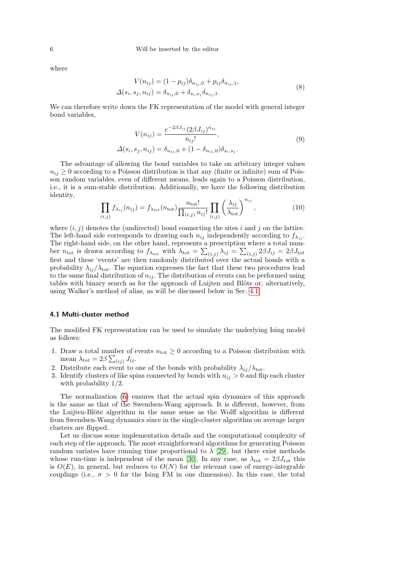where

$$
V(n_{ij}) = (1 - p_{ij})\delta_{n_{ij},0} + p_{ij}\delta_{n_{ij},1},
$$
  

$$
\Delta(s_i, s_j, n_{ij}) = \delta_{n_{ij},0} + \delta_{s_i,s_j}\delta_{n_{ij},1}.
$$
 (8)

We can therefore write down the FK representation of the model with general integer bond variables,

$$
V(n_{ij}) = \frac{e^{-2\beta J_{ij}} (2\beta J_{ij})^{n_{ij}}}{n_{ij}!},
$$
  

$$
\Delta(s_i, s_j, n_{ij}) = \delta_{n_{ij},0} + (1 - \delta_{n_{ij},0})\delta_{s_i, s_j}.
$$

$$
(9)
$$

<span id="page-6-2"></span>The advantage of allowing the bond variables to take on arbitrary integer values  $n_{ij} \geq 0$  according to a Poisson distribution is that any (finite or infinite) sum of Poisson random variables, even of different means, leads again to a Poisson distribution, i.e., it is a sum-stable distribution. Additionally, we have the following distribution identity,

<span id="page-6-1"></span>
$$
\prod_{(i,j)} f_{\lambda_{ij}}(n_{ij}) = f_{\lambda_{\text{tot}}}(n_{\text{tot}}) \frac{n_{\text{tot}}!}{\prod_{(i,j)} n_{ij}!} \prod_{(i,j)} \left(\frac{\lambda_{ij}}{\lambda_{\text{tot}}}\right)^{n_{ij}},\tag{10}
$$

where  $(i, j)$  denotes the (undirected) bond connecting the sites i and j on the lattice. The left-hand side corresponds to drawing each  $n_{ij}$  independently according to  $f_{\lambda_{ij}}$ . The right-hand side, on the other hand, represents a prescription where a total number  $n_{\text{tot}}$  is drawn according to  $f_{\lambda_{\text{tot}}}$  with  $\lambda_{\text{tot}} = \sum_{(i,j)} \lambda_{ij} = \sum_{(i,j)} 2\beta J_{ij} = 2\beta J_{\text{tot}}$ first and these 'events' are then randomly distributed over the actual bonds with a probability  $\lambda_{ij}/\lambda_{\text{tot}}$ . The equation expresses the fact that these two procedures lead to the same final distribution of  $n_{ij}$ . The distribution of events can be performed using tables with binary search as for the approach of Luijten and Blöte or, alternatively, using Walker's method of alias, as will be discussed below in Sec. [4.1.](#page-6-0)

#### <span id="page-6-0"></span>4.1 Multi-cluster method

The modified FK representation can be used to simulate the underlying Ising model as follows:

- 1. Draw a total number of events  $n_{\text{tot}} \geq 0$  according to a Poisson distribution with mean  $\lambda_{\text{tot}} = 2\beta \sum_{(ij)} J_{ij}$ .
- 2. Distribute each event to one of the bonds with probability  $\lambda_{ij}/\lambda_{\text{tot}}$ .
- 3. Identify clusters of like spins connected by bonds with  $n_{ij} > 0$  and flip each cluster with probability 1/2.

The normalization [\(6\)](#page-5-1) ensures that the actual spin dynamics of this approach is the same as that of the Swendsen-Wang approach. It is different, however, from the Luijten-Blöte algorithm in the same sense as the Wolff algorithm is different from Swendsen-Wang dynamics since in the single-cluster algorithm on average larger clusters are flipped.

Let us discuss some implementation details and the computational complexity of each step of the approach. The most straightforward algorithms for generating Poisson random variates have running time proportional to  $\lambda$  [\[29\]](#page-14-27), but there exist methods whose run-time is independent of the mean [\[30\]](#page-14-28). In any case, as  $\lambda_{\text{tot}} = 2\beta J_{\text{tot}}$  this is  $O(E)$ , in general, but reduces to  $O(N)$  for the relevant case of energy-integrable couplings (i.e.,  $\sigma > 0$  for the Ising FM in one dimension). In this case, the total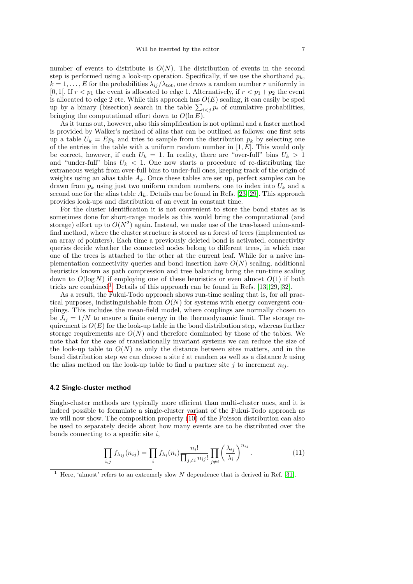number of events to distribute is  $O(N)$ . The distribution of events in the second step is performed using a look-up operation. Specifically, if we use the shorthand  $p_k$ ,  $k = 1, \ldots, E$  for the probabilities  $\lambda_{ij}/\lambda_{\text{tot}}$ , one draws a random number r uniformly in [0, 1]. If  $r < p_1$  the event is allocated to edge 1. Alternatively, if  $r < p_1 + p_2$  the event is allocated to edge 2 etc. While this approach has  $O(E)$  scaling, it can easily be sped up by a binary (bisection) search in the table  $\sum_{i < j} p_i$  of cumulative probabilities, bringing the computational effort down to  $O(\ln E)$ .

As it turns out, however, also this simplification is not optimal and a faster method is provided by Walker's method of alias that can be outlined as follows: one first sets up a table  $U_k = Ep_k$  and tries to sample from the distribution  $p_k$  by selecting one of the entries in the table with a uniform random number in  $[1, E]$ . This would only be correct, however, if each  $U_k = 1$ . In reality, there are "over-full" bins  $U_k > 1$ and "under-full" bins  $U_k$  < 1. One now starts a procedure of re-distributing the extraneous weight from over-full bins to under-full ones, keeping track of the origin of weights using an alias table  $A_k$ . Once these tables are set up, perfect samples can be drawn from  $p_k$  using just two uniform random numbers, one to index into  $U_k$  and a second one for the alias table  $A_k$ . Details can be found in Refs. [\[23,](#page-14-21) [29\]](#page-14-27). This approach provides look-ups and distribution of an event in constant time.

For the cluster identification it is not convenient to store the bond states as is sometimes done for short-range models as this would bring the computational (and storage) effort up to  $O(N^2)$  again. Instead, we make use of the tree-based union-andfind method, where the cluster structure is stored as a forest of trees (implemented as an array of pointers). Each time a previously deleted bond is activated, connectivity queries decide whether the connected nodes belong to different trees, in which case one of the trees is attached to the other at the current leaf. While for a naive implementation connectivity queries and bond insertion have  $O(N)$  scaling, additional heuristics known as path compression and tree balancing bring the run-time scaling down to  $O(\log N)$  if employing one of these heuristics or even almost  $O(1)$  if both tricks are combined<sup>[1](#page-7-0)</sup>. Details of this approach can be found in Refs. [\[13,](#page-14-11) [29,](#page-14-27) [32\]](#page-14-29).

As a result, the Fukui-Todo approach shows run-time scaling that is, for all practical purposes, indistinguishable from  $O(N)$  for systems with energy convergent couplings. This includes the mean-field model, where couplings are normally chosen to be  $J_{ij} = 1/N$  to ensure a finite energy in the thermodynamic limit. The storage requirement is  $O(E)$  for the look-up table in the bond distribution step, whereas further storage requirements are  $O(N)$  and therefore dominated by those of the tables. We note that for the case of translationally invariant systems we can reduce the size of the look-up table to  $O(N)$  as only the distance between sites matters, and in the bond distribution step we can choose a site  $i$  at random as well as a distance  $k$  using the alias method on the look-up table to find a partner site j to increment  $n_{ij}$ .

#### 4.2 Single-cluster method

Single-cluster methods are typically more efficient than multi-cluster ones, and it is indeed possible to formulate a single-cluster variant of the Fukui-Todo approach as we will now show. The composition property [\(10\)](#page-6-1) of the Poisson distribution can also be used to separately decide about how many events are to be distributed over the bonds connecting to a specific site  $i$ ,

<span id="page-7-1"></span>
$$
\prod_{i,j} f_{\lambda_{ij}}(n_{ij}) = \prod_i f_{\lambda_i}(n_i) \frac{n_i!}{\prod_{j \neq i} n_{ij}!} \prod_{j \neq i} \left(\frac{\lambda_{ij}}{\lambda_i}\right)^{n_{ij}}.
$$
\n(11)

<span id="page-7-0"></span><sup>&</sup>lt;sup>1</sup> Here, 'almost' refers to an extremely slow  $N$  dependence that is derived in Ref. [\[31\]](#page-14-30).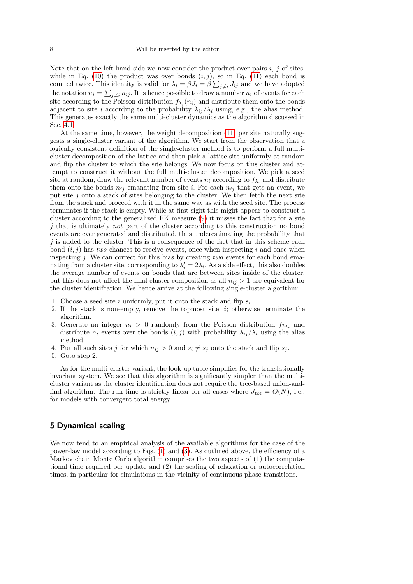Note that on the left-hand side we now consider the product over pairs  $i, j$  of sites, while in Eq. [\(10\)](#page-6-1) the product was over bonds  $(i, j)$ , so in Eq. [\(11\)](#page-7-1) each bond is counted twice. This identity is valid for  $\lambda_i = \beta J_i = \beta \sum_{j \neq i} J_{ij}$  and we have adopted the notation  $n_i = \sum_{j \neq i} n_{ij}$ . It is hence possible to draw a number  $n_i$  of events for each site according to the Poisson distribution  $f_{\lambda_i}(n_i)$  and distribute them onto the bonds adjacent to site i according to the probability  $\lambda_{ij}/\lambda_i$  using, e.g., the alias method. This generates exactly the same multi-cluster dynamics as the algorithm discussed in Sec. [4.1.](#page-6-0)

At the same time, however, the weight decomposition [\(11\)](#page-7-1) per site naturally suggests a single-cluster variant of the algorithm. We start from the observation that a logically consistent definition of the single-cluster method is to perform a full multicluster decomposition of the lattice and then pick a lattice site uniformly at random and flip the cluster to which the site belongs. We now focus on this cluster and attempt to construct it without the full multi-cluster decomposition. We pick a seed site at random, draw the relevant number of events  $n_i$  according to  $f_{\lambda_i}$  and distribute them onto the bonds  $n_{ij}$  emanating from site i. For each  $n_{ij}$  that gets an event, we put site  $j$  onto a stack of sites belonging to the cluster. We then fetch the next site from the stack and proceed with it in the same way as with the seed site. The process terminates if the stack is empty. While at first sight this might appear to construct a cluster according to the generalized FK measure [\(9\)](#page-6-2) it misses the fact that for a site  $j$  that is ultimately not part of the cluster according to this construction no bond events are ever generated and distributed, thus underestimating the probability that  $j$  is added to the cluster. This is a consequence of the fact that in this scheme each bond  $(i, j)$  has two chances to receive events, once when inspecting i and once when inspecting  $j$ . We can correct for this bias by creating two events for each bond emanating from a cluster site, corresponding to  $\lambda'_i = 2\lambda_i$ . As a side effect, this also doubles the average number of events on bonds that are between sites inside of the cluster, but this does not affect the final cluster composition as all  $n_{ij} > 1$  are equivalent for the cluster identifcation. We hence arrive at the following single-cluster algorithm:

- 1. Choose a seed site i uniformly, put it onto the stack and flip  $s_i$ .
- 2. If the stack is non-empty, remove the topmost site,  $i$ ; otherwise terminate the algorithm.
- 3. Generate an integer  $n_i > 0$  randomly from the Poisson distribution  $f_{2\lambda_i}$  and distribute  $n_i$  events over the bonds  $(i, j)$  with probability  $\lambda_{ij}/\lambda_i$  using the alias method.
- 4. Put all such sites j for which  $n_{ij} > 0$  and  $s_i \neq s_j$  onto the stack and flip  $s_j$ .
- 5. Goto step 2.

As for the multi-cluster variant, the look-up table simplifies for the translationally invariant system. We see that this algorithm is significantly simpler than the multicluster variant as the cluster identification does not require the tree-based union-andfind algorithm. The run-time is strictly linear for all cases where  $J_{\text{tot}} = O(N)$ , i.e., for models with convergent total energy.

# <span id="page-8-0"></span>5 Dynamical scaling

We now tend to an empirical analysis of the available algorithms for the case of the power-law model according to Eqs. [\(1\)](#page-2-1) and [\(3\)](#page-4-1). As outlined above, the efficiency of a Markov chain Monte Carlo algorithm comprises the two aspects of (1) the computational time required per update and (2) the scaling of relaxation or autocorrelation times, in particular for simulations in the vicinity of continuous phase transitions.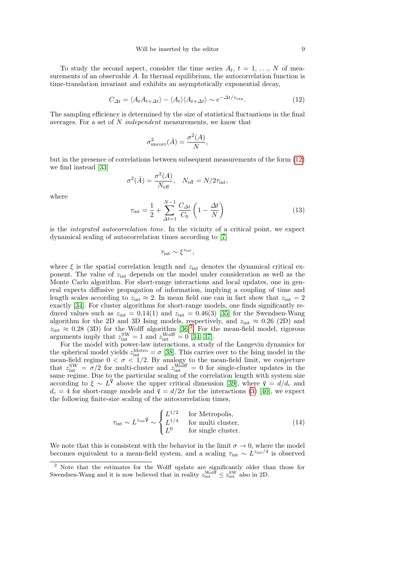To study the second aspect, consider the time series  $A_t$ ,  $t = 1, \ldots, N$  of measurements of an observable A. In thermal equilibrium, the autocorrelation function is time-translation invariant and exhibits an asymptotically exponential decay,

<span id="page-9-0"></span>
$$
C_{\Delta t} = \langle A_t A_{t + \Delta t} \rangle - \langle A_t \rangle \langle A_{t + \Delta t} \rangle \sim e^{-\Delta t / \tau_{\exp}}.
$$
 (12)

The sampling efficiency is determined by the size of statistical fluctuations in the final averages. For a set of N independent measurements, we know that

$$
\sigma_{\text{uncorr}}^2(\bar{A}) = \frac{\sigma^2(A)}{N},
$$

but in the presence of correlations between subsequent measurements of the form [\(12\)](#page-9-0) we find instead [\[33\]](#page-14-31)

$$
\sigma^2(\bar{A}) = \frac{\sigma^2(A)}{N_{\text{eff}}}, \quad N_{\text{eff}} = N/2\tau_{\text{int}},
$$

where

<span id="page-9-2"></span>
$$
\tau_{\rm int} = \frac{1}{2} + \sum_{\Delta t = 1}^{N-1} \frac{C_{\Delta t}}{C_0} \left( 1 - \frac{\Delta t}{N} \right)
$$
\n(13)

is the integrated autocorrelation time. In the vicinity of a critical point, we expect dynamical scaling of autocorrelation times according to [\[7\]](#page-14-5)

 $\tau_{\rm int} \sim \xi^{z_{\rm int}},$ 

where  $\xi$  is the spatial correlation length and  $z_{\text{int}}$  denotes the dynamical critical exponent. The value of zint depends on the model under consideration as well as the Monte Carlo algorithm. For short-range interactions and local updates, one in general expects diffusive propagation of information, implying a coupling of time and length scales according to  $z_{\text{int}} \approx 2$ . In mean field one can in fact show that  $z_{\text{int}} = 2$ exactly [\[34\]](#page-14-32). For cluster algorithms for short-range models, one finds significantly reduced values such as  $z_{\text{int}} = 0.14(1)$  and  $z_{\text{int}} = 0.46(3)$  [\[35\]](#page-14-33) for the Swendsen-Wang algorithm for the 2D and 3D Ising models, respectively, and  $z_{\text{int}} \approx 0.26$  (2D) and  $z_{\text{int}} \approx 0.28$  $z_{\text{int}} \approx 0.28$  $z_{\text{int}} \approx 0.28$  (3D) for the Wolff algorithm [\[36\]](#page-14-34)<sup>2</sup>. For the mean-field model, rigorous arguments imply that  $z_{\text{int}}^{\text{SW}} = 1$  and  $z_{\text{int}}^{\text{Wolff}} = 0$  [\[34,](#page-14-32) [37\]](#page-14-35).

For the model with power-law interactions, a study of the Langevin dynamics for the spherical model yields  $z_{\text{int}}^{\text{Metro}} = \sigma$  [\[38\]](#page-14-36). This carries over to the Ising model in the mean-field regime  $0 < \sigma < 1/2$ . By analogy to the mean-field limit, we conjecture that  $z_{\text{int}}^{\text{SW}} = \sigma/2$  for multi-cluster and  $z_{\text{int}}^{\text{Wolff}} = 0$  for single-cluster updates in the same regime. Due to the particular scaling of the correlation length with system size according to  $\xi \sim L^{\gamma}$  above the upper critical dimension [\[39\]](#page-14-37), where  $\gamma = d/d_c$  and  $d_c = 4$  for short-range models and  $\gamma = d/2\sigma$  for the interactions [\(3\)](#page-4-1) [\[40\]](#page-14-38), we expect the following finite-size scaling of the autocorrelation times,

<span id="page-9-3"></span>
$$
\tau_{\rm int} \sim L^{z_{\rm int}\mathfrak{P}} \sim \begin{cases} L^{1/2} & \text{for Metropolis,} \\ L^{1/4} & \text{for multi cluster,} \\ L^0 & \text{for single cluster.} \end{cases}
$$
 (14)

We note that this is consistent with the behavior in the limit  $\sigma \to 0$ , where the model becomes equivalent to a mean-field system, and a scaling  $\tau_{\text{int}} \sim L^{z_{\text{int}}/4}$  is observed

<span id="page-9-1"></span><sup>&</sup>lt;sup>2</sup> Note that the estimates for the Wolff update are significantly older than those for Swendsen-Wang and it is now believed that in reality  $z_{\text{int}}^{\text{Wolff}} \leq z_{\text{int}}^{\text{SW}}$  also in 2D.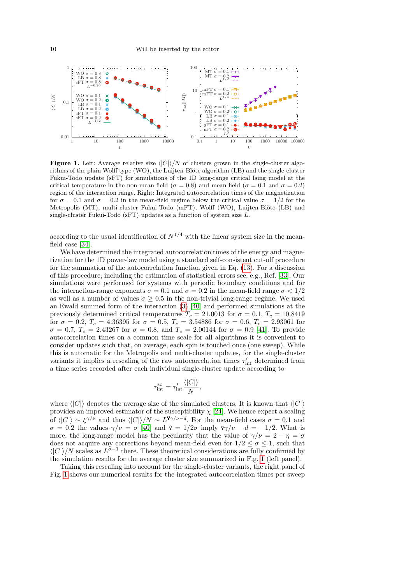

<span id="page-10-0"></span>Figure 1. Left: Average relative size  $\langle |C|\rangle/N$  of clusters grown in the single-cluster algorithms of the plain Wolff type (WO), the Luijten-Blöte algorithm (LB) and the single-cluster Fukui-Todo update (sFT) for simulations of the 1D long-range critical Ising model at the critical temperature in the non-mean-field ( $\sigma = 0.8$ ) and mean-field ( $\sigma = 0.1$  and  $\sigma = 0.2$ ) region of the interaction range. Right: Integrated autocorrelation times of the magnetization for  $\sigma = 0.1$  and  $\sigma = 0.2$  in the mean-field regime below the critical value  $\sigma = 1/2$  for the Metropolis (MT), multi-cluster Fukui-Todo (mFT), Wolff (WO), Luijten-Blöte (LB) and single-cluster Fukui-Todo (sFT) updates as a function of system size L.

according to the usual identification of  $N^{1/4}$  with the linear system size in the meanfield case [\[34\]](#page-14-32).

We have determined the integrated autocorrelation times of the energy and magnetization for the 1D power-law model using a standard self-consistent cut-off procedure for the summation of the autocorrelation function given in Eq. [\(13\)](#page-9-2). For a discussion of this procedure, including the estimation of statistical errors see, e.g., Ref. [\[33\]](#page-14-31). Our simulations were performed for systems with periodic boundary conditions and for the interaction-range exponents  $\sigma = 0.1$  and  $\sigma = 0.2$  in the mean-field range  $\sigma < 1/2$ as well as a number of values  $\sigma \geq 0.5$  in the non-trivial long-range regime. We used an Ewald summed form of the interaction [\(3\)](#page-4-1) [\[40\]](#page-14-38) and performed simulations at the previously determined critical temperatures  $T_c = 21.0013$  for  $\sigma = 0.1$ ,  $T_c = 10.8419$ for  $\sigma = 0.2, T_c = 4.36395$  for  $\sigma = 0.5, T_c = 3.54886$  for  $\sigma = 0.6, T_c = 2.93061$  for  $σ = 0.7, T<sub>c</sub> = 2.43267$  for  $σ = 0.8$ , and  $T<sub>c</sub> = 2.00144$  for  $σ = 0.9$  [\[41\]](#page-14-39). To provide autocorrelation times on a common time scale for all algorithms it is convenient to consider updates such that, on average, each spin is touched once (one sweep). While this is automatic for the Metropolis and multi-cluster updates, for the single-cluster variants it implies a rescaling of the raw autocorrelation times  $\tau_{\rm int}'$  determined from a time series recorded after each individual single-cluster update according to

$$
\tau_{\text{int}}^{\text{sc}} = \tau_{\text{int}}' \frac{\langle |C| \rangle}{N},
$$

where  $\langle |C|\rangle$  denotes the average size of the simulated clusters. It is known that  $\langle |C|\rangle$ provides an improved estimator of the susceptibility  $\chi$  [\[24\]](#page-14-22). We hence expect a scaling of  $\langle |C| \rangle \sim \xi^{\gamma/\nu}$  and thus  $\langle |C| \rangle/N \sim L^{\gamma/\nu-d}$ . For the mean-field cases  $\sigma = 0.1$  and  $\sigma = 0.2$  the values  $\gamma/\nu = \sigma$  [\[40\]](#page-14-38) and  $\gamma = 1/2\sigma$  imply  $\gamma/\nu - d = -1/2$ . What is more, the long-range model has the pecularity that the value of  $\gamma/\nu = 2 - \eta = \sigma$ does not acquire any corrections beyond mean-field even for  $1/2 \leq \sigma \leq 1$ , such that  $\langle |C| \rangle/N$  scales as  $L^{\sigma-1}$  there. These theoretical considerations are fully confirmed by the simulation results for the average cluster size summarized in Fig. [1](#page-10-0) (left panel).

Taking this rescaling into account for the single-cluster variants, the right panel of Fig. [1](#page-10-0) shows our numerical results for the integrated autocorrelation times per sweep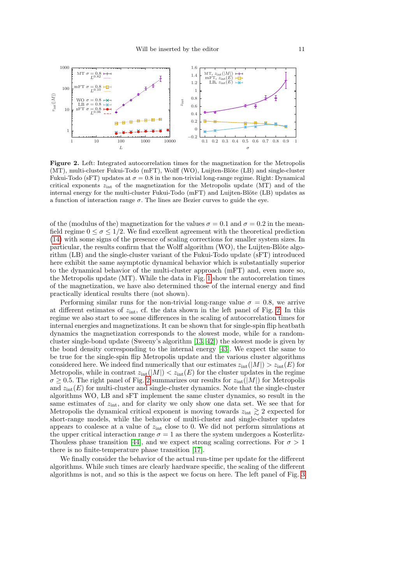

<span id="page-11-0"></span>Figure 2. Left: Integrated autocorrelation times for the magnetization for the Metropolis (MT), multi-cluster Fukui-Todo (mFT), Wolff (WO), Luijten-Blöte (LB) and single-cluster Fukui-Todo (sFT) updates at  $\sigma = 0.8$  in the non-trivial long-range regime. Right: Dynamical critical exponents zint of the magnetization for the Metropolis update (MT) and of the internal energy for the multi-cluster Fukui-Todo  $(mFT)$  and Luijten-Blöte (LB) updates as a function of interaction range  $\sigma$ . The lines are Bezier curves to guide the eye.

of the (modulus of the) magnetization for the values  $\sigma = 0.1$  and  $\sigma = 0.2$  in the meanfield regime  $0 \le \sigma \le 1/2$ . We find excellent agreement with the theoretical prediction [\(14\)](#page-9-3) with some signs of the presence of scaling corrections for smaller system sizes. In particular, the results confirm that the Wolff algorithm (WO), the Luijten-Blöte algorithm (LB) and the single-cluster variant of the Fukui-Todo update (sFT) introduced here exhibit the same asymptotic dynamical behavior which is substantially superior to the dynamical behavior of the multi-cluster approach (mFT) and, even more so, the Metropolis update (MT). While the data in Fig. [1](#page-10-0) show the autocorrelation times of the magnetization, we have also determined those of the internal energy and find practically identical results there (not shown).

Performing similar runs for the non-trivial long-range value  $\sigma = 0.8$ , we arrive at different estimates of  $z_{\text{int}}$ , cf. the data shown in the left panel of Fig. [2.](#page-11-0) In this regime we also start to see some differences in the scaling of autocorrelation times for internal energies and magnetizations. It can be shown that for single-spin flip heatbath dynamics the magnetization corresponds to the slowest mode, while for a randomcluster single-bond update (Sweeny's algorithm [\[13,](#page-14-11) [42\]](#page-14-40)) the slowest mode is given by the bond density corresponding to the internal energy [\[43\]](#page-15-0). We expect the same to be true for the single-spin flip Metropolis update and the various cluster algorithms considered here. We indeed find numerically that our estimates  $z_{\text{int}}(|M|) > z_{\text{int}}(E)$  for Metropolis, while in contrast  $z_{\text{int}}(|M|) < z_{\text{int}}(E)$  for the cluster updates in the regime  $\sigma \geq 0.5$ . The right panel of Fig. [2](#page-11-0) summarizes our results for  $z_{\text{int}}(|M|)$  for Metropolis and  $z_{\text{int}}(E)$  for multi-cluster and single-cluster dynamics. Note that the single-cluster algorithms WO, LB and sFT implement the same cluster dynamics, so result in the same estimates of  $z_{\text{int}}$ , and for clarity we only show one data set. We see that for Metropolis the dynamical critical exponent is moving towards  $z_{\text{int}} \geq 2$  expected for short-range models, while the behavior of multi-cluster and single-cluster updates appears to coalesce at a value of  $z_{\text{int}}$  close to 0. We did not perform simulations at the upper critical interaction range  $\sigma = 1$  as there the system undergoes a Kosterlitz-Thouless phase transition [\[44\]](#page-15-1), and we expect strong scaling corrections. For  $\sigma > 1$ there is no finite-temperature phase transition [\[17\]](#page-14-15).

We finally consider the behavior of the actual run-time per update for the different algorithms. While such times are clearly hardware specific, the scaling of the different algorithms is not, and so this is the aspect we focus on here. The left panel of Fig. [3](#page-12-0)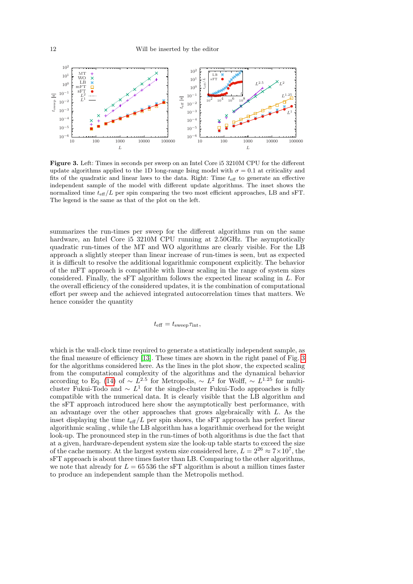

<span id="page-12-0"></span>Figure 3. Left: Times in seconds per sweep on an Intel Core i5 3210M CPU for the different update algorithms applied to the 1D long-range Ising model with  $\sigma = 0.1$  at criticality and fits of the quadratic and linear laws to the data. Right: Time  $t_{\text{eff}}$  to generate an effective independent sample of the model with different update algorithms. The inset shows the normalized time  $t_{\text{eff}}/L$  per spin comparing the two most efficient approaches, LB and sFT. The legend is the same as that of the plot on the left.

summarizes the run-times per sweep for the different algorithms run on the same hardware, an Intel Core i5 3210M CPU running at 2.50GHz. The asymptotically quadratic run-times of the MT and WO algorithms are clearly visible. For the LB approach a slightly steeper than linear increase of run-times is seen, but as expected it is difficult to resolve the additional logarithmic component explicitly. The behavior of the mFT approach is compatible with linear scaling in the range of system sizes considered. Finally, the sFT algorithm follows the expected linear scaling in L. For the overall efficiency of the considered updates, it is the combination of computational effort per sweep and the achieved integrated autocorrelation times that matters. We hence consider the quantity

$$
t_{\text{eff}} = t_{\text{sweep}} \tau_{\text{int}},
$$

which is the wall-clock time required to generate a statistically independent sample, as the final measure of efficiency [\[13\]](#page-14-11). These times are shown in the right panel of Fig. [3](#page-12-0) for the algorithms considered here. As the lines in the plot show, the expected scaling from the computational complexity of the algorithms and the dynamical behavior according to Eq. [\(14\)](#page-9-3) of  $\sim L^{2.5}$  for Metropolis,  $\sim L^2$  for Wolff,  $\sim L^{1.25}$  for multicluster Fukui-Todo and  $\sim L^1$  for the single-cluster Fukui-Todo approaches is fully compatible with the numerical data. It is clearly visible that the LB algorithm and the sFT approach introduced here show the asymptotically best performance, with an advantage over the other approaches that grows algebraically with L. As the inset displaying the time  $t_{\text{eff}}/L$  per spin shows, the sFT approach has perfect linear algorithmic scaling , while the LB algorithm has a logarithmic overhead for the weight look-up. The pronounced step in the run-times of both algorithms is due the fact that at a given, hardware-dependent system size the look-up table starts to exceed the size of the cache memory. At the largest system size considered here,  $L = 2^{26} \approx 7 \times 10^7$ , the sFT approach is about three times faster than LB. Comparing to the other algorithms, we note that already for  $L = 65\,536$  the sFT algorithm is about a million times faster to produce an independent sample than the Metropolis method.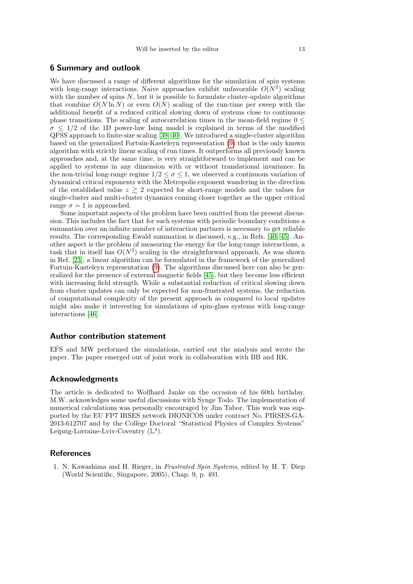# <span id="page-13-1"></span>6 Summary and outlook

We have discussed a range of different algorithms for the simulation of spin systems with long-range interactions. Naive approaches exhibit unfavorable  $O(N^2)$  scaling with the number of spins  $N$ , but it is possible to formulate cluster-update algorithms that combine  $O(N \ln N)$  or even  $O(N)$  scaling of the run-time per sweep with the additional benefit of a reduced critical slowing down of systems close to continuous phase transitions. The scaling of autocorrelation times in the mean-field regime  $0 \leq$  $\sigma \leq 1/2$  of the 1D power-law Ising model is explained in terms of the modified QFSS approach to finite-size scaling [\[39,](#page-14-37) [40\]](#page-14-38). We introduced a single-cluster algorithm based on the generalized Fortuin-Kasteleyn representation [\(9\)](#page-6-2) that is the only known algorithm with strictly linear scaling of run times. It outperforms all previously known approaches and, at the same time, is very straightforward to implement and can be applied to systems in any dimension with or without translational invariance. In the non-trivial long-range regime  $1/2 \leq \sigma \leq 1$ , we observed a continuous variation of dynamical critical exponents with the Metropolis exponent wandering in the direction of the established value  $z \gtrsim 2$  expected for short-range models and the values for single-cluster and multi-cluster dynamics coming closer together as the upper critical range  $\sigma = 1$  is approached.

Some important aspects of the problem have been omitted from the present discussion. This includes the fact that for such systems with periodic boundary conditions a summation over an infinite number of interaction partners is necessary to get reliable results. The corresponding Ewald summation is discussed, e.g., in Refs. [\[40,](#page-14-38) [45\]](#page-15-2). Another aspect is the problem of measuring the energy for the long-range interactions, a task that in itself has  $O(N^2)$  scaling in the straightforward approach. As was shown in Ref. [\[23\]](#page-14-21), a linear algorithm can be formulated in the framework of the generalized Fortuin-Kasteleyn representation [\(9\)](#page-6-2). The algorithms discussed here can also be generalized for the presence of external magnetic fields [\[45\]](#page-15-2), but they become less efficient with increasing field strength. While a substantial reduction of critical slowing down from cluster updates can only be expected for non-frustrated systems, the reduction of computational complexity of the present approach as compared to local updates might also make it interesting for simulations of spin-glass systems with long-range interactions [\[46\]](#page-15-3).

# Author contribution statement

EFS and MW performed the simulations, carried out the analysis and wrote the paper. The paper emerged out of joint work in collaboration with BB and RK.

# Acknowledgments

The article is dedicated to Wolfhard Janke on the occasion of his 60th birthday. M.W. acknowledges some useful discussions with Synge Todo. The implementation of numerical calculations was personally encouraged by Jim Tabor. This work was supported by the EU FP7 IRSES network DIONICOS under contract No. PIRSES-GA-2013-612707 and by the Collège Doctoral "Statistical Physics of Complex Systems" Leipzig-Lorraine-Lviv-Coventry (L<sup>4</sup>).

# References

<span id="page-13-0"></span>1. N. Kawashima and H. Rieger, in Frustrated Spin Systems, edited by H. T. Diep (World Scientific, Singapore, 2005), Chap. 9, p. 491.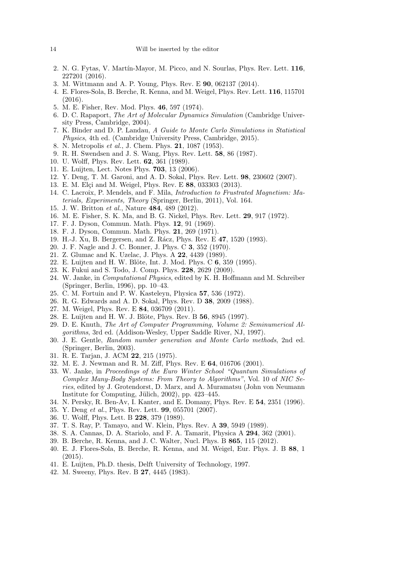- <span id="page-14-0"></span>2. N. G. Fytas, V. Martín-Mayor, M. Picco, and N. Sourlas, Phys. Rev. Lett. 116, 227201 (2016).
- <span id="page-14-1"></span>3. M. Wittmann and A. P. Young, Phys. Rev. E 90, 062137 (2014).
- <span id="page-14-2"></span>4. E. Flores-Sola, B. Berche, R. Kenna, and M. Weigel, Phys. Rev. Lett. 116, 115701 (2016).
- <span id="page-14-3"></span>5. M. E. Fisher, Rev. Mod. Phys. 46, 597 (1974).
- <span id="page-14-4"></span>6. D. C. Rapaport, The Art of Molecular Dynamics Simulation (Cambridge University Press, Cambridge, 2004).
- <span id="page-14-5"></span>7. K. Binder and D. P. Landau, A Guide to Monte Carlo Simulations in Statistical Physics, 4th ed. (Cambridge University Press, Cambridge, 2015).
- <span id="page-14-6"></span>8. N. Metropolis et al., J. Chem. Phys. 21, 1087 (1953).
- <span id="page-14-7"></span>9. R. H. Swendsen and J. S. Wang, Phys. Rev. Lett. 58, 86 (1987).
- <span id="page-14-8"></span>10. U. Wolff, Phys. Rev. Lett. 62, 361 (1989).
- <span id="page-14-9"></span>11. E. Luijten, Lect. Notes Phys. 703, 13 (2006).
- <span id="page-14-10"></span>12. Y. Deng, T. M. Garoni, and A. D. Sokal, Phys. Rev. Lett. 98, 230602 (2007).
- <span id="page-14-11"></span>13. E. M. Elçi and M. Weigel, Phys. Rev. E 88, 033303 (2013).
- <span id="page-14-12"></span>14. C. Lacroix, P. Mendels, and F. Mila, Introduction to Frustrated Magnetism: Materials, Experiments, Theory (Springer, Berlin, 2011), Vol. 164.
- <span id="page-14-13"></span>15. J. W. Britton et al., Nature 484, 489 (2012).
- <span id="page-14-14"></span>16. M. E. Fisher, S. K. Ma, and B. G. Nickel, Phys. Rev. Lett. 29, 917 (1972).
- <span id="page-14-15"></span>17. F. J. Dyson, Commun. Math. Phys. 12, 91 (1969).
- <span id="page-14-16"></span>18. F. J. Dyson, Commun. Math. Phys. 21, 269 (1971).
- <span id="page-14-17"></span>19. H.-J. Xu, B. Bergersen, and Z. Rácz, Phys. Rev. E 47, 1520 (1993).
- <span id="page-14-18"></span>20. J. F. Nagle and J. C. Bonner, J. Phys. C 3, 352 (1970).
- <span id="page-14-19"></span>21. Z. Glumac and K. Uzelac, J. Phys. A 22, 4439 (1989).
- <span id="page-14-20"></span>22. E. Luijten and H. W. Blöte, Int. J. Mod. Phys. C 6, 359 (1995).
- <span id="page-14-21"></span>23. K. Fukui and S. Todo, J. Comp. Phys. 228, 2629 (2009).
- <span id="page-14-22"></span>24. W. Janke, in Computational Physics, edited by K. H. Hoffmann and M. Schreiber (Springer, Berlin, 1996), pp. 10–43.
- <span id="page-14-23"></span>25. C. M. Fortuin and P. W. Kasteleyn, Physica 57, 536 (1972).
- <span id="page-14-24"></span>26. R. G. Edwards and A. D. Sokal, Phys. Rev. D 38, 2009 (1988).
- <span id="page-14-25"></span>27. M. Weigel, Phys. Rev. E 84, 036709 (2011).
- <span id="page-14-26"></span>28. E. Luijten and H. W. J. Blöte, Phys. Rev. B 56, 8945 (1997).
- <span id="page-14-27"></span>29. D. E. Knuth, The Art of Computer Programming, Volume 2: Seminumerical Algorithms, 3rd ed. (Addison-Wesley, Upper Saddle River, NJ, 1997).
- <span id="page-14-28"></span>30. J. E. Gentle, Random number generation and Monte Carlo methods, 2nd ed. (Springer, Berlin, 2003).
- <span id="page-14-30"></span>31. R. E. Tarjan, J. ACM 22, 215 (1975).
- <span id="page-14-29"></span>32. M. E. J. Newman and R. M. Ziff, Phys. Rev. E 64, 016706 (2001).
- <span id="page-14-31"></span>33. W. Janke, in Proceedings of the Euro Winter School "Quantum Simulations of Complex Many-Body Systems: From Theory to Algorithms", Vol. 10 of NIC Series, edited by J. Grotendorst, D. Marx, and A. Muramatsu (John von Neumann Institute for Computing, Jülich, 2002), pp. 423–445.
- <span id="page-14-32"></span>34. N. Persky, R. Ben-Av, I. Kanter, and E. Domany, Phys. Rev. E 54, 2351 (1996).
- <span id="page-14-33"></span>35. Y. Deng et al., Phys. Rev. Lett. 99, 055701 (2007).
- <span id="page-14-34"></span>36. U. Wolff, Phys. Lett. B 228, 379 (1989).
- <span id="page-14-35"></span>37. T. S. Ray, P. Tamayo, and W. Klein, Phys. Rev. A 39, 5949 (1989).
- <span id="page-14-36"></span>38. S. A. Cannas, D. A. Stariolo, and F. A. Tamarit, Physica A 294, 362 (2001).
- <span id="page-14-37"></span>39. B. Berche, R. Kenna, and J. C. Walter, Nucl. Phys. B 865, 115 (2012).
- <span id="page-14-38"></span>40. E. J. Flores-Sola, B. Berche, R. Kenna, and M. Weigel, Eur. Phys. J. B 88, 1 (2015).
- <span id="page-14-39"></span>41. E. Luijten, Ph.D. thesis, Delft University of Technology, 1997.
- <span id="page-14-40"></span>42. M. Sweeny, Phys. Rev. B 27, 4445 (1983).